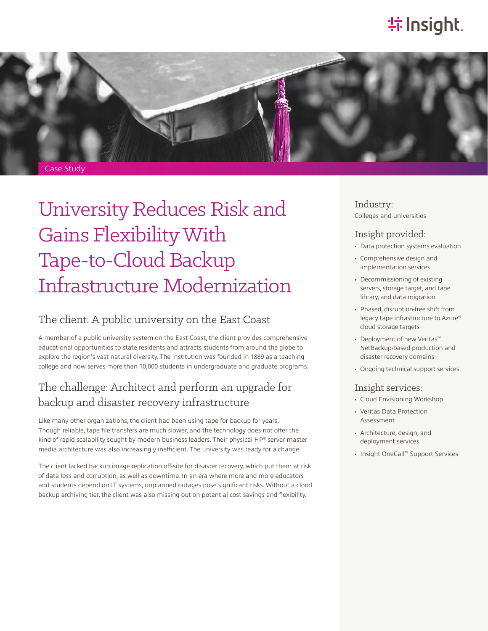# **特Insight**.



University Reduces Risk and Gains Flexibility With Tape-to-Cloud Backup Infrastructure Modernization

#### The client: A public university on the East Coast

A member of a public university system on the East Coast, the client provides comprehensive educational opportunities to state residents and attracts students from around the globe to explore the region's vast natural diversity. The institution was founded in 1889 as a teaching college and now serves more than 10,000 students in undergraduate and graduate programs.

## The challenge: Architect and perform an upgrade for backup and disaster recovery infrastructure

Like many other organizations, the client had been using tape for backup for years. Though reliable, tape file transfers are much slower, and the technology does not offer the kind of rapid scalability sought by modern business leaders. Their physical HP® server master media architecture was also increasingly inefficient. The university was ready for a change.

The client lacked backup image replication off-site for disaster recovery, which put them at risk of data loss and corruption, as well as downtime. In an era where more and more educators and students depend on IT systems, unplanned outages pose significant risks. Without a cloud backup archiving tier, the client was also missing out on potential cost savings and flexibility.

Industry: Colleges and universities

#### Insight provided:

- Data protection systems evaluation
- Comprehensive design and implementation services
- Decommissioning of existing servers, storage target, and tape library, and data migration
- Phased, disruption-free shift from legacy tape infrastructure to Azure® cloud storage targets
- Deployment of new Veritas™ NetBackup-based production and disaster recovery domains
- Ongoing technical support services

#### Insight services:

- Cloud Envisioning Workshop
- Veritas Data Protection Assessment
- Architecture, design, and deployment services
- Insight OneCall™ Support Services